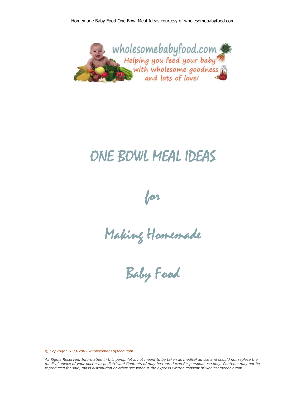

# ONE BOWL MEAL IDEAS



Making Homemade

Baby Food

*© Copyright 2003-2007 wholesomebabyfood.com.*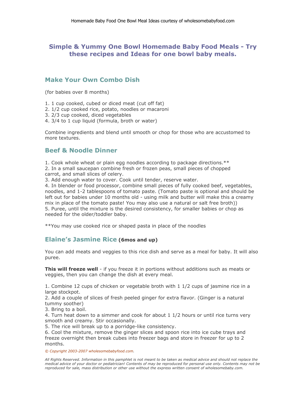### **Simple & Yummy One Bowl Homemade Baby Food Meals - Try these recipes and Ideas for one bowl baby meals.**

#### **Make Your Own Combo Dish**

(for babies over 8 months)

- 1. 1 cup cooked, cubed or diced meat (cut off fat)
- 2. 1/2 cup cooked rice, potato, noodles or macaroni
- 3. 2/3 cup cooked, diced vegetables
- 4. 3/4 to 1 cup liquid (formula, broth or water)

Combine ingredients and blend until smooth or chop for those who are accustomed to more textures.

## **Beef & Noodle Dinner**

1. Cook whole wheat or plain egg noodles according to package directions.\*\*

2. In a small saucepan combine fresh or frozen peas, small pieces of chopped carrot, and small slices of celery.

3. Add enough water to cover. Cook until tender, reserve water.

4. In blender or food processor, combine small pieces of fully cooked beef, vegetables, noodles, and 1-2 tablespoons of tomato paste. (Tomato paste is optional and should be left out for babies under 10 months old - using milk and butter will make this a creamy mix in place of the tomato paste! You may also use a natural or salt free broth)) 5. Puree, until the mixture is the desired consistency, for smaller babies or chop as needed for the older/toddler baby.

\*\*You may use cooked rice or shaped pasta in place of the noodles

#### **Elaine's Jasmine Rice (6mos and up)**

You can add meats and veggies to this rice dish and serve as a meal for baby. It will also puree.

**This will freeze well** - if you freeze it in portions without additions such as meats or veggies, then you can change the dish at every meal.

1. Combine 12 cups of chicken or vegetable broth with 1 1/2 cups of jasmine rice in a large stockpot.

2. Add a couple of slices of fresh peeled ginger for extra flavor. (Ginger is a natural tummy soother)

3. Bring to a boil.

4. Turn heat down to a simmer and cook for about 1 1/2 hours or until rice turns very smooth and creamy. Stir occasionally.

5. The rice will break up to a porridge-like consistency.

6. Cool the mixture, remove the ginger slices and spoon rice into ice cube trays and freeze overnight then break cubes into freezer bags and store in freezer for up to 2 months.

*© Copyright 2003-2007 wholesomebabyfood.com.*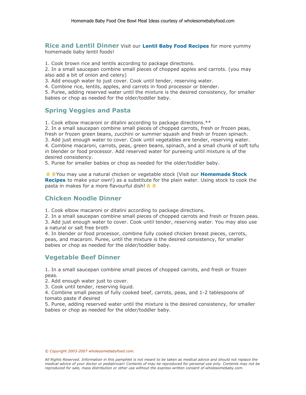**Rice and Lentil Dinner** Visit our Lentil Baby Food Recipes for more yummy homemade baby lentil foods!

1. Cook brown rice and lentils according to package directions.

2. In a small saucepan combine small pieces of chopped apples and carrots. (you may also add a bit of onion and celery)

3. Add enough water to just cover. Cook until tender, reserving water.

4. Combine rice, lentils, apples, and carrots in food processor or blender.

5. Puree, adding reserved water until the mixture is the desired consistency, for smaller babies or chop as needed for the older/toddler baby.

#### **Spring Veggies and Pasta**

1. Cook elbow macaroni or ditalini according to package directions.\*\*

2. In a small saucepan combine small pieces of chopped carrots, fresh or frozen peas, fresh or frozen green beans, zucchini or summer squash and fresh or frozen spinach.

3. Add just enough water to cover. Cook until vegetables are tender, reserving water.

4. Combine macaroni, carrots, peas, green beans, spinach, and a small chunk of soft tofu in blender or food processor. Add reserved water for pureeing until mixture is of the desired consistency.

5. Puree for smaller babies or chop as needed for the older/toddler baby.

**Å Å You may use a natural chicken or vegetable stock (Visit our Homemade Stock Recipes** to make your own!) as a substitute for the plain water. Using stock to cook the pasta in makes for a more flavourful dish!  $\star$ 

#### **Chicken Noodle Dinner**

1. Cook elbow macaroni or ditalini according to package directions.

2. In a small saucepan combine small pieces of chopped carrots and fresh or frozen peas.

3. Add just enough water to cover. Cook until tender, reserving water. You may also use a natural or salt free broth

4. In blender or food processor, combine fully cooked chicken breast pieces, carrots, peas, and macaroni. Puree, until the mixture is the desired consistency, for smaller babies or chop as needed for the older/toddler baby.

# **Vegetable Beef Dinner**

1. In a small saucepan combine small pieces of chopped carrots, and fresh or frozen peas.

2. Add enough water just to cover.

3. Cook until tender, reserving liquid.

4. Combine small pieces of fully cooked beef, carrots, peas, and 1-2 tablespoons of tomato paste if desired

5. Puree, adding reserved water until the mixture is the desired consistency, for smaller babies or chop as needed for the older/toddler baby.

#### *© Copyright 2003-2007 wholesomebabyfood.com.*